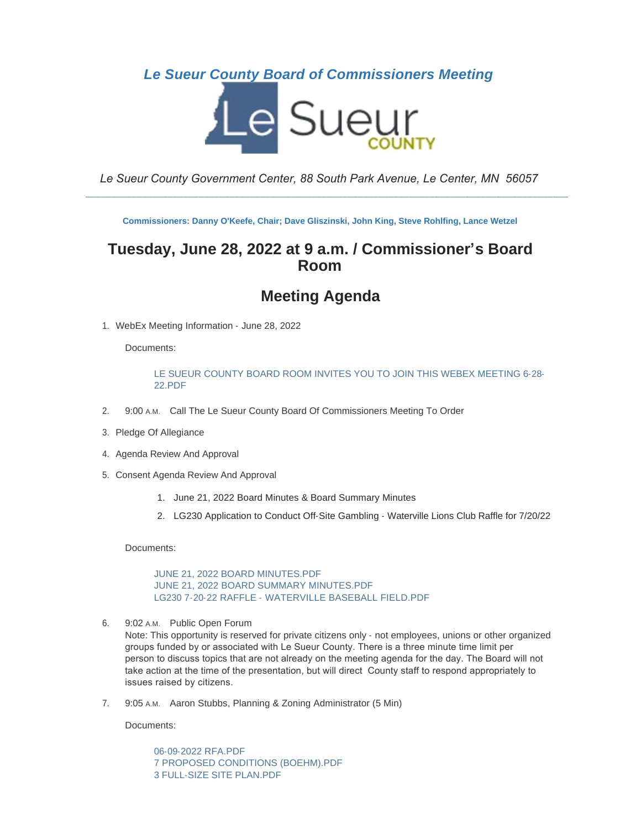### *Le Sueur County Board of Commissioners Meeting*



*Le Sueur County Government Center, 88 South Park Avenue, Le Center, MN 56057*

\_\_\_\_\_\_\_\_\_\_\_\_\_\_\_\_\_\_\_\_\_\_\_\_\_\_\_\_\_\_\_\_\_\_\_\_\_\_\_\_\_\_\_\_\_\_\_\_\_\_\_\_\_\_\_\_\_\_\_\_\_\_\_\_\_\_\_\_\_\_\_\_\_\_\_\_\_\_\_\_\_\_\_\_\_\_\_\_\_\_\_\_\_\_

**Commissioners: Danny O'Keefe, Chair; Dave Gliszinski, John King, Steve Rohlfing, Lance Wetzel**

## **Tuesday, June 28, 2022 at 9 a.m. / Commissioner's Board Room**

# **Meeting Agenda**

1. WebEx Meeting Information - June 28, 2022

Documents:

#### [LE SUEUR COUNTY BOARD ROOM INVITES YOU TO JOIN THIS WEBEX MEETING 6-28-](https://www.co.le-sueur.mn.us/AgendaCenter/ViewFile/Item/3572?fileID=4198) 22.PDF

- 2. 9:00 A.M. Call The Le Sueur County Board Of Commissioners Meeting To Order
- 3. Pledge Of Allegiance
- 4. Agenda Review And Approval
- 5. Consent Agenda Review And Approval
	- 1. June 21, 2022 Board Minutes & Board Summary Minutes
	- 2. LG230 Application to Conduct Off-Site Gambling Waterville Lions Club Raffle for 7/20/22

Documents:

[JUNE 21, 2022 BOARD MINUTES.PDF](https://www.co.le-sueur.mn.us/AgendaCenter/ViewFile/Item/3291?fileID=4444) [JUNE 21, 2022 BOARD SUMMARY MINUTES.PDF](https://www.co.le-sueur.mn.us/AgendaCenter/ViewFile/Item/3291?fileID=4445) [LG230 7-20-22 RAFFLE - WATERVILLE BASEBALL FIELD.PDF](https://www.co.le-sueur.mn.us/AgendaCenter/ViewFile/Item/3291?fileID=4456)

6. 9:02 A.M. Public Open Forum

Note: This opportunity is reserved for private citizens only - not employees, unions or other organized groups funded by or associated with Le Sueur County. There is a three minute time limit per person to discuss topics that are not already on the meeting agenda for the day. The Board will not take action at the time of the presentation, but will direct County staff to respond appropriately to issues raised by citizens.

7. 9:05 A.M. Aaron Stubbs, Planning & Zoning Administrator (5 Min)

Documents:

[06-09-2022 RFA.PDF](https://www.co.le-sueur.mn.us/AgendaCenter/ViewFile/Item/3535?fileID=4439) [7 PROPOSED CONDITIONS \(BOEHM\).PDF](https://www.co.le-sueur.mn.us/AgendaCenter/ViewFile/Item/3535?fileID=4440) [3 FULL-SIZE SITE PLAN.PDF](https://www.co.le-sueur.mn.us/AgendaCenter/ViewFile/Item/3535?fileID=4441)